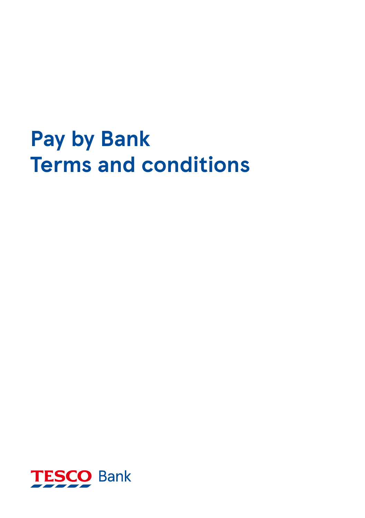# **Pay by Bank Terms and conditions**

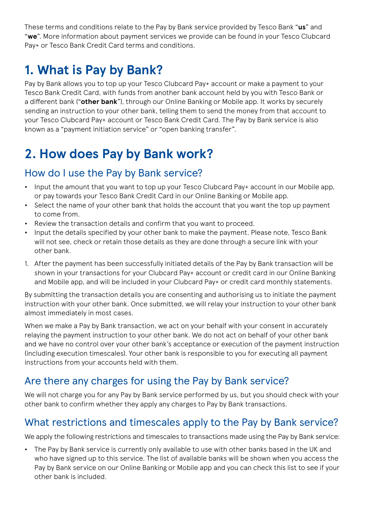These terms and conditions relate to the Pay by Bank service provided by Tesco Bank "**us**" and "**we**". More information about payment services we provide can be found in your Tesco Clubcard Pay+ or Tesco Bank Credit Card terms and conditions.

## **1. What is Pay by Bank?**

Pay by Bank allows you to top up your Tesco Clubcard Pay+ account or make a payment to your Tesco Bank Credit Card, with funds from another bank account held by you with Tesco Bank or a different bank ("**other bank**"), through our Online Banking or Mobile app. It works by securely sending an instruction to your other bank, telling them to send the money from that account to your Tesco Clubcard Pay+ account or Tesco Bank Credit Card. The Pay by Bank service is also known as a "payment initiation service" or "open banking transfer".

## **2. How does Pay by Bank work?**

#### How do I use the Pay by Bank service?

- **•** Input the amount that you want to top up your Tesco Clubcard Pay+ account in our Mobile app, or pay towards your Tesco Bank Credit Card in our Online Banking or Mobile app.
- **•** Select the name of your other bank that holds the account that you want the top up payment to come from.
- **•** Review the transaction details and confirm that you want to proceed.
- **•** Input the details specified by your other bank to make the payment. Please note, Tesco Bank will not see, check or retain those details as they are done through a secure link with your other bank.
- 1. After the payment has been successfully initiated details of the Pay by Bank transaction will be shown in your transactions for your Clubcard Pay+ account or credit card in our Online Banking and Mobile app, and will be included in your Clubcard Pay+ or credit card monthly statements.

By submitting the transaction details you are consenting and authorising us to initiate the payment instruction with your other bank. Once submitted, we will relay your instruction to your other bank almost immediately in most cases.

When we make a Pay by Bank transaction, we act on your behalf with your consent in accurately relaying the payment instruction to your other bank. We do not act on behalf of your other bank and we have no control over your other bank's acceptance or execution of the payment instruction (including execution timescales). Your other bank is responsible to you for executing all payment instructions from your accounts held with them.

#### Are there any charges for using the Pay by Bank service?

We will not charge you for any Pay by Bank service performed by us, but you should check with your other bank to confirm whether they apply any charges to Pay by Bank transactions.

#### What restrictions and timescales apply to the Pay by Bank service?

We apply the following restrictions and timescales to transactions made using the Pay by Bank service:

**•** The Pay by Bank service is currently only available to use with other banks based in the UK and who have signed up to this service. The list of available banks will be shown when you access the Pay by Bank service on our Online Banking or Mobile app and you can check this list to see if your other bank is included.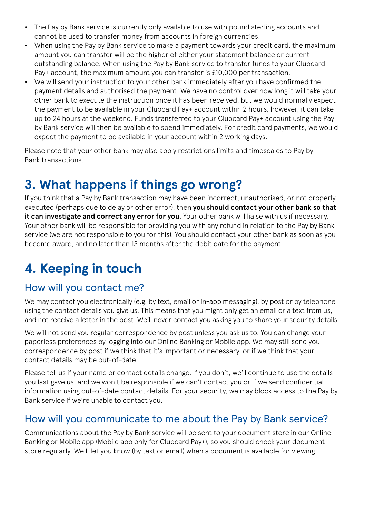- **•** The Pay by Bank service is currently only available to use with pound sterling accounts and cannot be used to transfer money from accounts in foreign currencies.
- **•** When using the Pay by Bank service to make a payment towards your credit card, the maximum amount you can transfer will be the higher of either your statement balance or current outstanding balance. When using the Pay by Bank service to transfer funds to your Clubcard Pay+ account, the maximum amount you can transfer is £10,000 per transaction.
- **•** We will send your instruction to your other bank immediately after you have confirmed the payment details and authorised the payment. We have no control over how long it will take your other bank to execute the instruction once it has been received, but we would normally expect the payment to be available in your Clubcard Pay+ account within 2 hours, however, it can take up to 24 hours at the weekend. Funds transferred to your Clubcard Pay+ account using the Pay by Bank service will then be available to spend immediately. For credit card payments, we would expect the payment to be available in your account within 2 working days.

Please note that your other bank may also apply restrictions limits and timescales to Pay by Bank transactions.

## **3. What happens if things go wrong?**

If you think that a Pay by Bank transaction may have been incorrect, unauthorised, or not properly executed (perhaps due to delay or other error), then **you should contact your other bank so that it can investigate and correct any error for you**. Your other bank will liaise with us if necessary. Your other bank will be responsible for providing you with any refund in relation to the Pay by Bank service (we are not responsible to you for this). You should contact your other bank as soon as you become aware, and no later than 13 months after the debit date for the payment.

## **4. Keeping in touch**

#### How will you contact me?

We may contact you electronically (e.g. by text, email or in-app messaging), by post or by telephone using the contact details you give us. This means that you might only get an email or a text from us, and not receive a letter in the post. We'll never contact you asking you to share your security details.

We will not send you regular correspondence by post unless you ask us to. You can change your paperless preferences by logging into our Online Banking or Mobile app. We may still send you correspondence by post if we think that it's important or necessary, or if we think that your contact details may be out-of-date.

Please tell us if your name or contact details change. If you don't, we'll continue to use the details you last gave us, and we won't be responsible if we can't contact you or if we send confidential information using out-of-date contact details. For your security, we may block access to the Pay by Bank service if we're unable to contact you.

#### How will you communicate to me about the Pay by Bank service?

Communications about the Pay by Bank service will be sent to your document store in our Online Banking or Mobile app (Mobile app only for Clubcard Pay+), so you should check your document store regularly. We'll let you know (by text or email) when a document is available for viewing.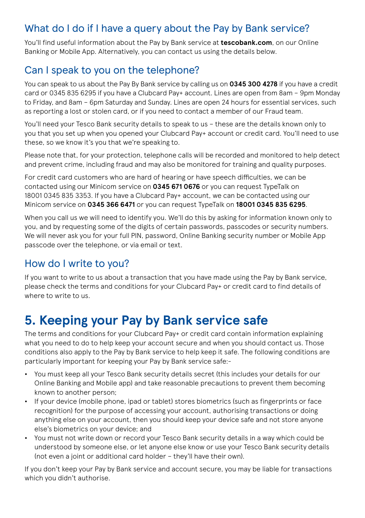#### What do I do if I have a query about the Pay by Bank service?

You'll find useful information about the Pay by Bank service at **tescobank.com**, on our Online Banking or Mobile App. Alternatively, you can contact us using the details below.

#### Can I speak to you on the telephone?

You can speak to us about the Pay By Bank service by calling us on **0345 300 4278** if you have a credit card or 0345 835 6295 if you have a Clubcard Pay+ account. Lines are open from 8am – 9pm Monday to Friday, and 8am – 6pm Saturday and Sunday. Lines are open 24 hours for essential services, such as reporting a lost or stolen card, or if you need to contact a member of our Fraud team.

You'll need your Tesco Bank security details to speak to us – these are the details known only to you that you set up when you opened your Clubcard Pay+ account or credit card. You'll need to use these, so we know it's you that we're speaking to.

Please note that, for your protection, telephone calls will be recorded and monitored to help detect and prevent crime, including fraud and may also be monitored for training and quality purposes.

For credit card customers who are hard of hearing or have speech difficulties, we can be contacted using our Minicom service on **0345 671 0676** or you can request TypeTalk on 18001 0345 835 3353. If you have a Clubcard Pay+ account, we can be contacted using our Minicom service on **0345 366 6471** or you can request TypeTalk on **18001 0345 835 6295**.

When you call us we will need to identify you. We'll do this by asking for information known only to you, and by requesting some of the digits of certain passwords, passcodes or security numbers. We will never ask you for your full PIN, password, Online Banking security number or Mobile App passcode over the telephone, or via email or text.

#### How do I write to you?

If you want to write to us about a transaction that you have made using the Pay by Bank service, please check the terms and conditions for your Clubcard Pay+ or credit card to find details of where to write to us.

## **5. Keeping your Pay by Bank service safe**

The terms and conditions for your Clubcard Pay+ or credit card contain information explaining what you need to do to help keep your account secure and when you should contact us. Those conditions also apply to the Pay by Bank service to help keep it safe. The following conditions are particularly important for keeping your Pay by Bank service safe:-

- **•** You must keep all your Tesco Bank security details secret (this includes your details for our Online Banking and Mobile app) and take reasonable precautions to prevent them becoming known to another person;
- **•** If your device (mobile phone, ipad or tablet) stores biometrics (such as fingerprints or face recognition) for the purpose of accessing your account, authorising transactions or doing anything else on your account, then you should keep your device safe and not store anyone else's biometrics on your device; and
- **•** You must not write down or record your Tesco Bank security details in a way which could be understood by someone else, or let anyone else know or use your Tesco Bank security details (not even a joint or additional card holder – they'll have their own).

If you don't keep your Pay by Bank service and account secure, you may be liable for transactions which you didn't authorise.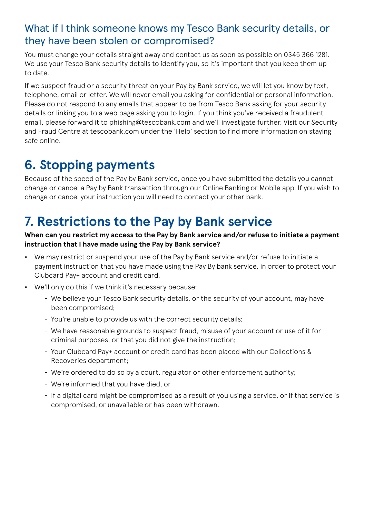#### What if I think someone knows my Tesco Bank security details, or they have been stolen or compromised?

You must change your details straight away and contact us as soon as possible on 0345 366 1281. We use your Tesco Bank security details to identify you, so it's important that you keep them up to date.

If we suspect fraud or a security threat on your Pay by Bank service, we will let you know by text, telephone, email or letter. We will never email you asking for confidential or personal information. Please do not respond to any emails that appear to be from Tesco Bank asking for your security details or linking you to a web page asking you to login. If you think you've received a fraudulent email, please forward it to phishing@tescobank.com and we'll investigate further. Visit our Security and Fraud Centre at tescobank.com under the 'Help' section to find more information on staying safe online.

## **6. Stopping payments**

Because of the speed of the Pay by Bank service, once you have submitted the details you cannot change or cancel a Pay by Bank transaction through our Online Banking or Mobile app. If you wish to change or cancel your instruction you will need to contact your other bank.

## **7. Restrictions to the Pay by Bank service**

#### **When can you restrict my access to the Pay by Bank service and/or refuse to initiate a payment instruction that I have made using the Pay by Bank service?**

- **•** We may restrict or suspend your use of the Pay by Bank service and/or refuse to initiate a payment instruction that you have made using the Pay By bank service, in order to protect your Clubcard Pay+ account and credit card.
- **•** We'll only do this if we think it's necessary because:
	- We believe your Tesco Bank security details, or the security of your account, may have been compromised;
	- You're unable to provide us with the correct security details;
	- We have reasonable grounds to suspect fraud, misuse of your account or use of it for criminal purposes, or that you did not give the instruction;
	- Your Clubcard Pay+ account or credit card has been placed with our Collections & Recoveries department;
	- We're ordered to do so by a court, regulator or other enforcement authority;
	- We're informed that you have died, or
	- If a digital card might be compromised as a result of you using a service, or if that service is compromised, or unavailable or has been withdrawn.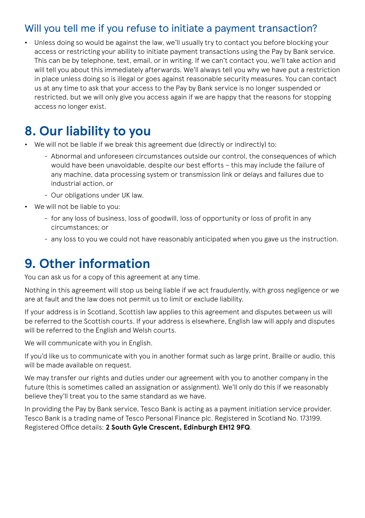#### Will you tell me if you refuse to initiate a payment transaction?

**•** Unless doing so would be against the law, we'll usually try to contact you before blocking your access or restricting your ability to initiate payment transactions using the Pay by Bank service. This can be by telephone, text, email, or in writing. If we can't contact you, we'll take action and will tell you about this immediately afterwards. We'll always tell you why we have put a restriction in place unless doing so is illegal or goes against reasonable security measures. You can contact us at any time to ask that your access to the Pay by Bank service is no longer suspended or restricted, but we will only give you access again if we are happy that the reasons for stopping access no longer exist.

## **8. Our liability to you**

- We will not be liable if we break this agreement due (directly or indirectly) to:
	- Abnormal and unforeseen circumstances outside our control, the consequences of which would have been unavoidable, despite our best efforts – this may include the failure of any machine, data processing system or transmission link or delays and failures due to industrial action, or
	- Our obligations under UK law.
- **•** We will not be liable to you:
	- for any loss of business, loss of goodwill, loss of opportunity or loss of profit in any circumstances; or
	- any loss to you we could not have reasonably anticipated when you gave us the instruction.

### **9. Other information**

You can ask us for a copy of this agreement at any time.

Nothing in this agreement will stop us being liable if we act fraudulently, with gross negligence or we are at fault and the law does not permit us to limit or exclude liability.

If your address is in Scotland, Scottish law applies to this agreement and disputes between us will be referred to the Scottish courts. If your address is elsewhere, English law will apply and disputes will be referred to the English and Welsh courts.

We will communicate with you in English.

If you'd like us to communicate with you in another format such as large print, Braille or audio, this will be made available on request.

We may transfer our rights and duties under our agreement with you to another company in the future (this is sometimes called an assignation or assignment). We'll only do this if we reasonably believe they'll treat you to the same standard as we have.

In providing the Pay by Bank service, Tesco Bank is acting as a payment initiation service provider. Tesco Bank is a trading name of Tesco Personal Finance plc. Registered in Scotland No. 173199. Registered Office details: **2 South Gyle Crescent, Edinburgh EH12 9FQ**.